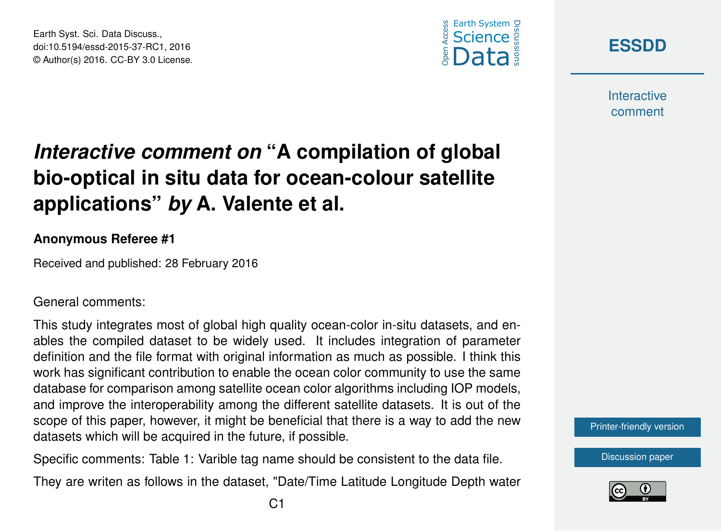





**Interactive** comment

## *Interactive comment on* **"A compilation of global bio-optical in situ data for ocean-colour satellite applications"** *by* **A. Valente et al.**

## **Anonymous Referee #1**

Received and published: 28 February 2016

## General comments:

This study integrates most of global high quality ocean-color in-situ datasets, and enables the compiled dataset to be widely used. It includes integration of parameter definition and the file format with original information as much as possible. I think this work has significant contribution to enable the ocean color community to use the same database for comparison among satellite ocean color algorithms including IOP models, and improve the interoperability among the different satellite datasets. It is out of the scope of this paper, however, it might be beneficial that there is a way to add the new datasets which will be acquired in the future, if possible.

Specific comments: Table 1: Varible tag name should be consistent to the data file.

They are writen as follows in the dataset, "Date/Time Latitude Longitude Depth water



[Discussion paper](http://www.earth-syst-sci-data-discuss.net/essd-2015-37)